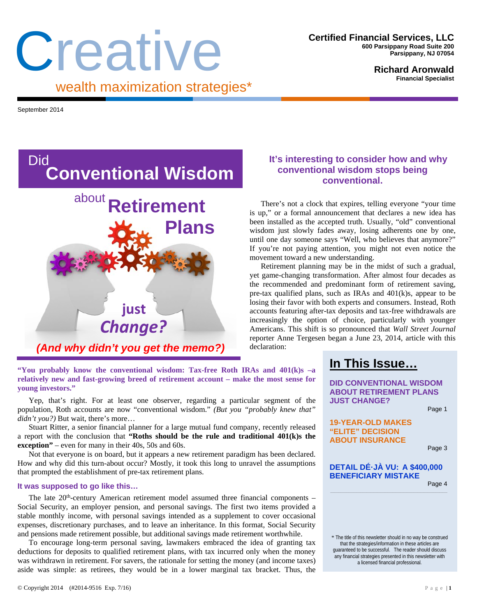# Creative wealth maximization strategies\*

**Richard Aronwald Financial Specialist** 

September 2014



**"You probably know the conventional wisdom: Tax-free Roth IRAs and 401(k)s –a relatively new and fast-growing breed of retirement account – make the most sense for young investors."** 

Yep, that's right. For at least one observer, regarding a particular segment of the population, Roth accounts are now "conventional wisdom." *(But you "probably knew that" didn't you?)* But wait, there's more…

Stuart Ritter, a senior financial planner for a large mutual fund company, recently released a report with the conclusion that **"Roths should be the rule and traditional 401(k)s the exception"** – even for many in their 40s, 50s and 60s.

Not that everyone is on board, but it appears a new retirement paradigm has been declared. How and why did this turn-about occur? Mostly, it took this long to unravel the assumptions that prompted the establishment of pre-tax retirement plans.

#### **It was supposed to go like this…**

The late  $20<sup>th</sup>$ -century American retirement model assumed three financial components – Social Security, an employer pension, and personal savings. The first two items provided a stable monthly income, with personal savings intended as a supplement to cover occasional expenses, discretionary purchases, and to leave an inheritance. In this format, Social Security and pensions made retirement possible, but additional savings made retirement worthwhile.

To encourage long-term personal saving, lawmakers embraced the idea of granting tax deductions for deposits to qualified retirement plans, with tax incurred only when the money was withdrawn in retirement. For savers, the rationale for setting the money (and income taxes) aside was simple: as retirees, they would be in a lower marginal tax bracket. Thus, the

## **It's interesting to consider how and why conventional wisdom stops being conventional.**

There's not a clock that expires, telling everyone "your time is up," or a formal announcement that declares a new idea has been installed as the accepted truth. Usually, "old" conventional wisdom just slowly fades away, losing adherents one by one, until one day someone says "Well, who believes that anymore?" If you're not paying attention, you might not even notice the movement toward a new understanding.

Retirement planning may be in the midst of such a gradual, yet game-changing transformation. After almost four decades as the recommended and predominant form of retirement saving, pre-tax qualified plans, such as IRAs and 401(k)s, appear to be losing their favor with both experts and consumers. Instead, Roth accounts featuring after-tax deposits and tax-free withdrawals are increasingly the option of choice, particularly with younger Americans. This shift is so pronounced that *Wall Street Journal* reporter Anne Tergesen began a June 23, 2014, article with this declaration:

# **In This Issue…**

**DID CONVENTIONAL WISDOM ABOUT RETIREMENT PLANS JUST CHANGE?** 

Page 1

**19-YEAR-OLD MAKES "ELITE" DECISION ABOUT INSURANCE** 

Page 3

#### **DETAIL DÉ·JÀ VU: A \$400,000 BENEFICIARY MISTAKE**

Page 4

\* The title of this newsletter should in no way be construed that the strategies/information in these articles are guaranteed to be successful. The reader should discuss any financial strategies presented in this newsletter with a licensed financial professional.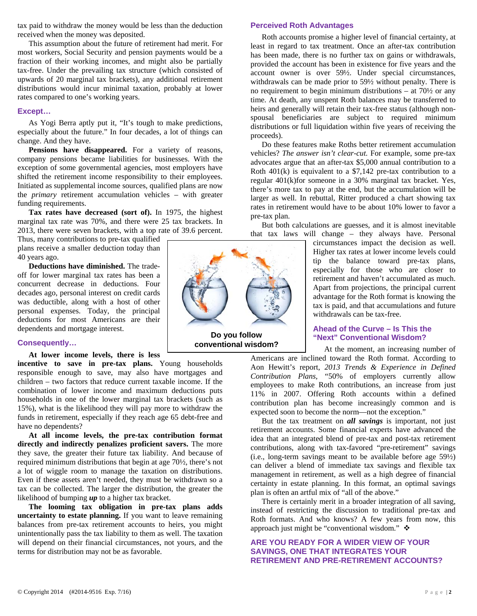tax paid to withdraw the money would be less than the deduction received when the money was deposited.

This assumption about the future of retirement had merit. For most workers, Social Security and pension payments would be a fraction of their working incomes, and might also be partially tax-free. Under the prevailing tax structure (which consisted of upwards of 20 marginal tax brackets), any additional retirement distributions would incur minimal taxation, probably at lower rates compared to one's working years.

#### **Except…**

As Yogi Berra aptly put it, "It's tough to make predictions, especially about the future." In four decades, a lot of things can change. And they have.

**Pensions have disappeared.** For a variety of reasons, company pensions became liabilities for businesses. With the exception of some governmental agencies, most employers have shifted the retirement income responsibility to their employees. Initiated as supplemental income sources, qualified plans are now the *primary* retirement accumulation vehicles – with greater funding requirements.

**Tax rates have decreased (sort of).** In 1975, the highest marginal tax rate was 70%, and there were 25 tax brackets. In 2013, there were seven brackets, with a top rate of 39.6 percent.

Thus, many contributions to pre-tax qualified plans receive a smaller deduction today than 40 years ago.

**Deductions have diminished.** The tradeoff for lower marginal tax rates has been a concurrent decrease in deductions. Four decades ago, personal interest on credit cards was deductible, along with a host of other personal expenses. Today, the principal deductions for most Americans are their dependents and mortgage interest.

#### **Consequently…**

**At lower income levels, there is less** 

**incentive to save in pre-tax plans.** Young households responsible enough to save, may also have mortgages and children – two factors that reduce current taxable income. If the combination of lower income and maximum deductions puts households in one of the lower marginal tax brackets (such as 15%), what is the likelihood they will pay more to withdraw the funds in retirement, especially if they reach age 65 debt-free and have no dependents?

**At all income levels, the pre-tax contribution format directly and indirectly penalizes proficient savers.** The more they save, the greater their future tax liability. And because of required minimum distributions that begin at age 70½, there's not a lot of wiggle room to manage the taxation on distributions. Even if these assets aren't needed, they must be withdrawn so a tax can be collected. The larger the distribution, the greater the likelihood of bumping *up* to a higher tax bracket.

**The looming tax obligation in pre-tax plans adds uncertainty to estate planning.** If you want to leave remaining balances from pre-tax retirement accounts to heirs, you might unintentionally pass the tax liability to them as well. The taxation will depend on their financial circumstances, not yours, and the terms for distribution may not be as favorable.



Roth accounts promise a higher level of financial certainty, at least in regard to tax treatment. Once an after-tax contribution has been made, there is no further tax on gains or withdrawals, provided the account has been in existence for five years and the account owner is over 59½. Under special circumstances, withdrawals can be made prior to 59½ without penalty. There is no requirement to begin minimum distributions – at 70½ or any time. At death, any unspent Roth balances may be transferred to heirs and generally will retain their tax-free status (although nonspousal beneficiaries are subject to required minimum distributions or full liquidation within five years of receiving the proceeds).

**Perceived Roth Advantages** 

Do these features make Roths better retirement accumulation vehicles? *The answer isn't clear-cut.* For example, some pre-tax advocates argue that an after-tax \$5,000 annual contribution to a Roth  $401(k)$  is equivalent to a \$7,142 pre-tax contribution to a regular 401(k)for someone in a 30% marginal tax bracket. Yes, there's more tax to pay at the end, but the accumulation will be larger as well. In rebuttal, Ritter produced a chart showing tax rates in retirement would have to be about 10% lower to favor a pre-tax plan.

But both calculations are guesses, and it is almost inevitable that tax laws will change – they always have. Personal

> circumstances impact the decision as well. Higher tax rates at lower income levels could tip the balance toward pre-tax plans, especially for those who are closer to retirement and haven't accumulated as much. Apart from projections, the principal current advantage for the Roth format is knowing the tax is paid, and that accumulations and future withdrawals can be tax-free.

#### **Ahead of the Curve – Is This the "Next" Conventional Wisdom?**

At the moment, an increasing number of Americans are inclined toward the Roth format. According to Aon Hewitt's report, *2013 Trends & Experience in Defined Contribution Plans,* "50% of employers currently allow employees to make Roth contributions, an increase from just 11% in 2007. Offering Roth accounts within a defined contribution plan has become increasingly common and is expected soon to become the norm—not the exception."

But the tax treatment on *all savings* is important, not just retirement accounts. Some financial experts have advanced the idea that an integrated blend of pre-tax and post-tax retirement contributions, along with tax-favored "pre-retirement" savings (i.e., long-term savings meant to be available before age 59½) can deliver a blend of immediate tax savings and flexible tax management in retirement, as well as a high degree of financial certainty in estate planning. In this format, an optimal savings plan is often an artful mix of "all of the above."

There is certainly merit in a broader integration of all saving, instead of restricting the discussion to traditional pre-tax and Roth formats. And who knows? A few years from now, this approach just might be "conventional wisdom."

#### **ARE YOU READY FOR A WIDER VIEW OF YOUR SAVINGS, ONE THAT INTEGRATES YOUR RETIREMENT AND PRE-RETIREMENT ACCOUNTS?**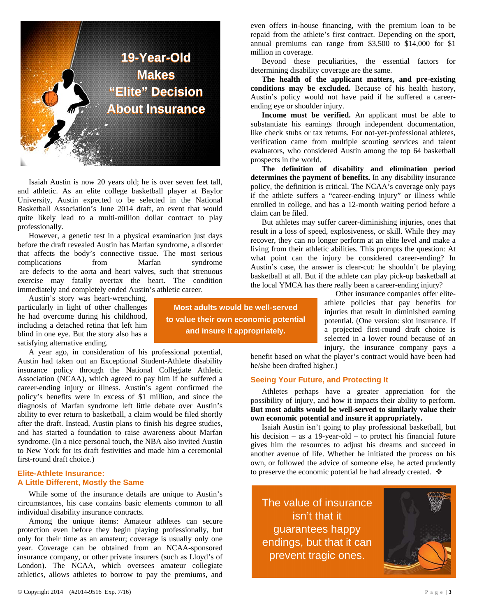

Isaiah Austin is now 20 years old; he is over seven feet tall, and athletic. As an elite college basketball player at Baylor University, Austin expected to be selected in the National Basketball Association's June 2014 draft, an event that would quite likely lead to a multi-million dollar contract to play professionally.

However, a genetic test in a physical examination just days before the draft revealed Austin has Marfan syndrome, a disorder that affects the body's connective tissue. The most serious complications from Marfan syndrome are defects to the aorta and heart valves, such that strenuous exercise may fatally overtax the heart. The condition immediately and completely ended Austin's athletic career.

Austin's story was heart-wrenching, particularly in light of other challenges he had overcome during his childhood, including a detached retina that left him blind in one eye. But the story also has a satisfying alternative ending.

A year ago, in consideration of his professional potential, Austin had taken out an Exceptional Student-Athlete disability insurance policy through the National Collegiate Athletic Association (NCAA), which agreed to pay him if he suffered a career-ending injury or illness. Austin's agent confirmed the policy's benefits were in excess of \$1 million, and since the diagnosis of Marfan syndrome left little debate over Austin's ability to ever return to basketball, a claim would be filed shortly after the draft. Instead, Austin plans to finish his degree studies, and has started a foundation to raise awareness about Marfan syndrome. (In a nice personal touch, the NBA also invited Austin to New York for its draft festivities and made him a ceremonial first-round draft choice.)

#### **Elite-Athlete Insurance: A Little Different, Mostly the Same**

While some of the insurance details are unique to Austin's circumstances, his case contains basic elements common to all individual disability insurance contracts.

Among the unique items: Amateur athletes can secure protection even before they begin playing professionally, but only for their time as an amateur; coverage is usually only one year. Coverage can be obtained from an NCAA-sponsored insurance company, or other private insurers (such as Lloyd's of London). The NCAA, which oversees amateur collegiate athletics, allows athletes to borrow to pay the premiums, and

even offers in-house financing, with the premium loan to be repaid from the athlete's first contract. Depending on the sport, annual premiums can range from \$3,500 to \$14,000 for \$1 million in coverage.

Beyond these peculiarities, the essential factors for determining disability coverage are the same.

**The health of the applicant matters, and pre-existing conditions may be excluded.** Because of his health history, Austin's policy would not have paid if he suffered a careerending eye or shoulder injury.

**Income must be verified.** An applicant must be able to substantiate his earnings through independent documentation, like check stubs or tax returns. For not-yet-professional athletes, verification came from multiple scouting services and talent evaluators, who considered Austin among the top 64 basketball prospects in the world.

**The definition of disability and elimination period determines the payment of benefits.** In any disability insurance policy, the definition is critical. The NCAA's coverage only pays if the athlete suffers a "career-ending injury" or illness while enrolled in college, and has a 12-month waiting period before a claim can be filed.

But athletes may suffer career-diminishing injuries, ones that result in a loss of speed, explosiveness, or skill. While they may recover, they can no longer perform at an elite level and make a living from their athletic abilities. This prompts the question: At what point can the injury be considered career-ending? In Austin's case, the answer is clear-cut: he shouldn't be playing basketball at all. But if the athlete can play pick-up basketball at the local YMCA has there really been a career-ending injury?

Other insurance companies offer eliteathlete policies that pay benefits for injuries that result in diminished earning potential. (One version: slot insurance. If a projected first-round draft choice is selected in a lower round because of an injury, the insurance company pays a

benefit based on what the player's contract would have been had he/she been drafted higher.)

#### **Seeing Your Future, and Protecting It**

Athletes perhaps have a greater appreciation for the possibility of injury, and how it impacts their ability to perform. **But most adults would be well-served to similarly value their own economic potential and insure it appropriately.**

Isaiah Austin isn't going to play professional basketball, but his decision – as a 19-year-old – to protect his financial future gives him the resources to adjust his dreams and succeed in another avenue of life. Whether he initiated the process on his own, or followed the advice of someone else, he acted prudently to preserve the economic potential he had already created. ❖

The value of insurance isn't that it guarantees happy endings, but that it can prevent tragic ones.



**Most adults would be well-served to value their own economic potential and insure it appropriately.**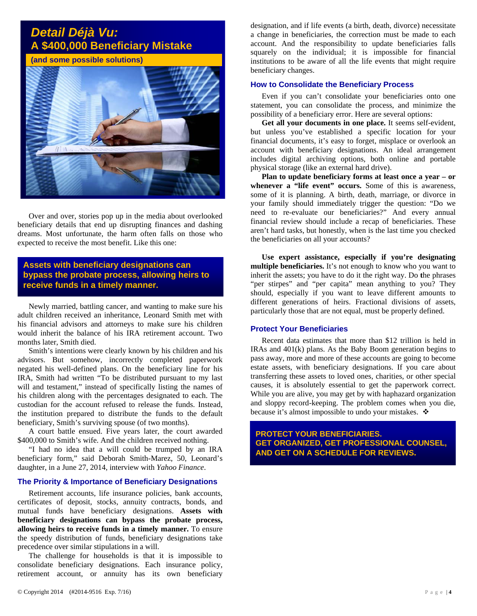# *Detail Déjà Vu:*  **A \$400,000 Beneficiary Mistake**

**(and some possible solutions)**



Over and over, stories pop up in the media about overlooked beneficiary details that end up disrupting finances and dashing dreams. Most unfortunate, the harm often falls on those who expected to receive the most benefit. Like this one:

### **Assets with beneficiary designations can bypass the probate process, allowing heirs to receive funds in a timely manner.**

Newly married, battling cancer, and wanting to make sure his adult children received an inheritance, Leonard Smith met with his financial advisors and attorneys to make sure his children would inherit the balance of his IRA retirement account. Two months later, Smith died.

Smith's intentions were clearly known by his children and his advisors. But somehow, incorrectly completed paperwork negated his well-defined plans. On the beneficiary line for his IRA, Smith had written "To be distributed pursuant to my last will and testament," instead of specifically listing the names of his children along with the percentages designated to each. The custodian for the account refused to release the funds. Instead, the institution prepared to distribute the funds to the default beneficiary, Smith's surviving spouse (of two months).

A court battle ensued. Five years later, the court awarded \$400,000 to Smith's wife. And the children received nothing.

"I had no idea that a will could be trumped by an IRA beneficiary form," said Deborah Smith-Marez, 50, Leonard's daughter, in a June 27, 2014, interview with *Yahoo Finance*.

#### **The Priority & Importance of Beneficiary Designations**

Retirement accounts, life insurance policies, bank accounts, certificates of deposit, stocks, annuity contracts, bonds, and mutual funds have beneficiary designations. **Assets with beneficiary designations can bypass the probate process, allowing heirs to receive funds in a timely manner.** To ensure the speedy distribution of funds, beneficiary designations take precedence over similar stipulations in a will.

The challenge for households is that it is impossible to consolidate beneficiary designations. Each insurance policy, retirement account, or annuity has its own beneficiary

designation, and if life events (a birth, death, divorce) necessitate a change in beneficiaries, the correction must be made to each account. And the responsibility to update beneficiaries falls squarely on the individual; it is impossible for financial institutions to be aware of all the life events that might require beneficiary changes.

#### **How to Consolidate the Beneficiary Process**

Even if you can't consolidate your beneficiaries onto one statement, you can consolidate the process, and minimize the possibility of a beneficiary error. Here are several options:

**Get all your documents in one place.** It seems self-evident, but unless you've established a specific location for your financial documents, it's easy to forget, misplace or overlook an account with beneficiary designations. An ideal arrangement includes digital archiving options, both online and portable physical storage (like an external hard drive).

**Plan to update beneficiary forms at least once a year – or whenever a "life event" occurs.** Some of this is awareness, some of it is planning. A birth, death, marriage, or divorce in your family should immediately trigger the question: "Do we need to re-evaluate our beneficiaries?" And every annual financial review should include a recap of beneficiaries. These aren't hard tasks, but honestly, when is the last time you checked the beneficiaries on all your accounts?

**Use expert assistance, especially if you're designating multiple beneficiaries.** It's not enough to know who you want to inherit the assets; you have to do it the right way. Do **t**he phrases "per stirpes" and "per capita" mean anything to you? They should, especially if you want to leave different amounts to different generations of heirs. Fractional divisions of assets, particularly those that are not equal, must be properly defined.

#### **Protect Your Beneficiaries**

Recent data estimates that more than \$12 trillion is held in IRAs and 401(k) plans. As the Baby Boom generation begins to pass away, more and more of these accounts are going to become estate assets, with beneficiary designations. If you care about transferring these assets to loved ones, charities, or other special causes, it is absolutely essential to get the paperwork correct. While you are alive, you may get by with haphazard organization and sloppy record-keeping. The problem comes when you die, because it's almost impossible to undo your mistakes.  $\mathbf{\hat{P}}$ 

**PROTECT YOUR BENEFICIARIES. GET ORGANIZED, GET PROFESSIONAL COUNSEL, AND GET ON A SCHEDULE FOR REVIEWS.**